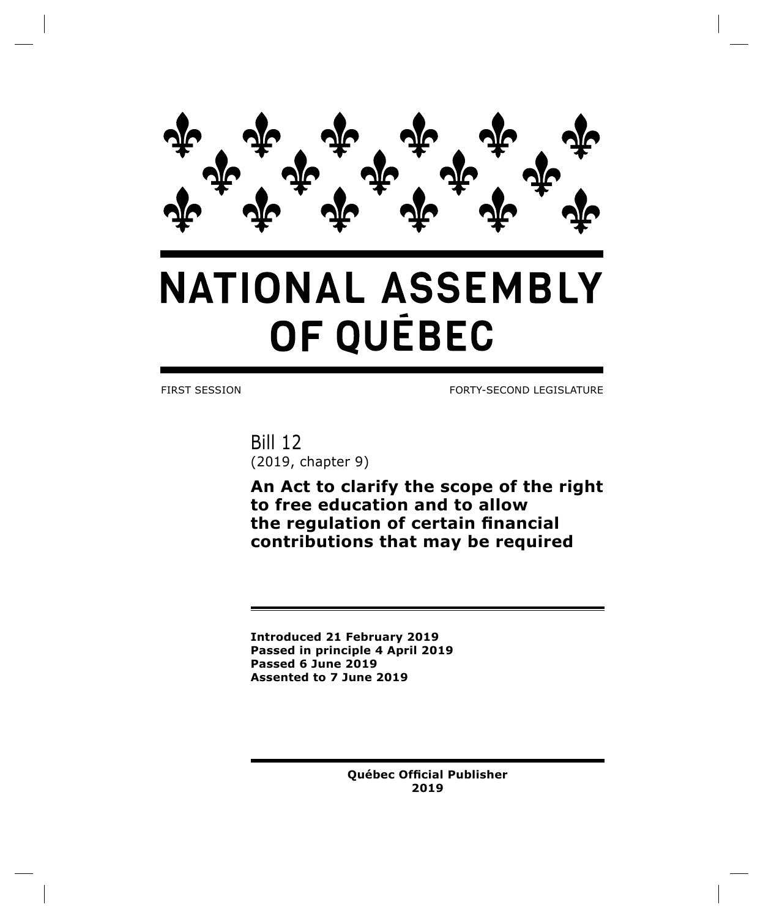

# **NATIONAL ASSEMBLY** OF QUÉBEC

FIRST SESSION FORTY-SECOND LEGISLATURE

Bill 12 (2019, chapter 9)

**An Act to clarify the scope of the right to free education and to allow the regulation of certain financial contributions that may be required**

**Introduced 21 February 2019 Passed in principle 4 April 2019 Passed 6 June 2019 Assented to 7 June 2019**

> **Québec Official Publisher 2019**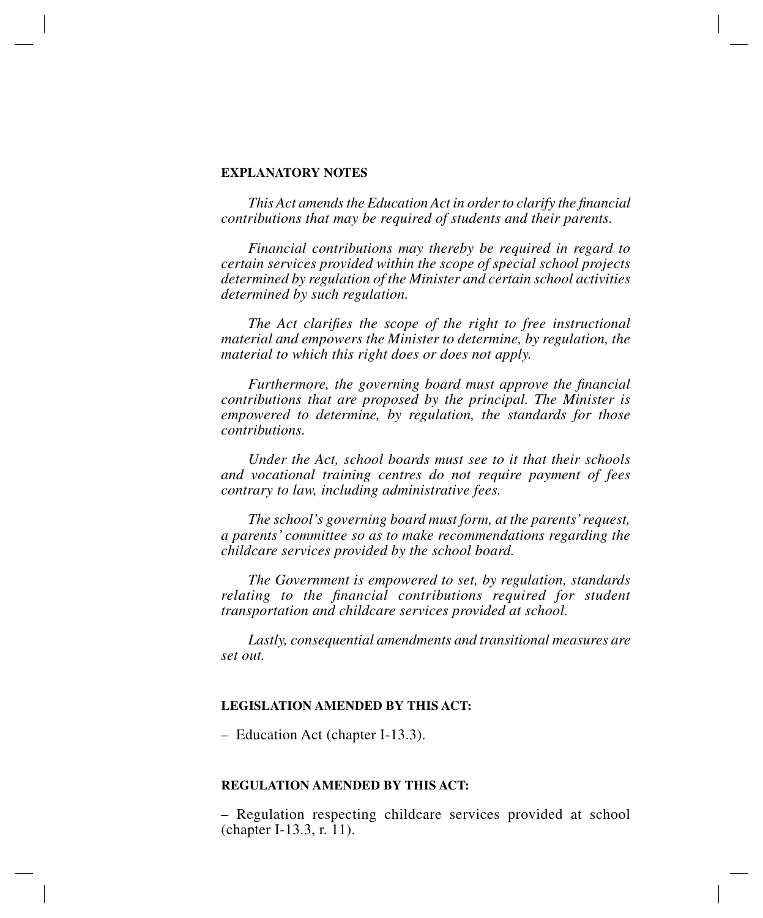## **EXPLANATORY NOTES**

*This Act amends the Education Act in order to clarify the financial contributions that may be required of students and their parents.*

*Financial contributions may thereby be required in regard to certain services provided within the scope of special school projects determined by regulation of the Minister and certain school activities determined by such regulation.*

*The Act clarifies the scope of the right to free instructional material and empowers the Minister to determine, by regulation, the material to which this right does or does not apply.*

*Furthermore, the governing board must approve the financial contributions that are proposed by the principal. The Minister is empowered to determine, by regulation, the standards for those contributions.*

*Under the Act, school boards must see to it that their schools and vocational training centres do not require payment of fees contrary to law, including administrative fees.*

*The school's governing board must form, at the parents' request, a parents' committee so as to make recommendations regarding the childcare services provided by the school board.*

*The Government is empowered to set, by regulation, standards relating to the financial contributions required for student transportation and childcare services provided at school.*

*Lastly, consequential amendments and transitional measures are set out.*

## **LEGISLATION AMENDED BY THIS ACT:**

– Education Act (chapter I-13.3).

#### **REGULATION AMENDED BY THIS ACT:**

– Regulation respecting childcare services provided at school (chapter I-13.3, r. 11).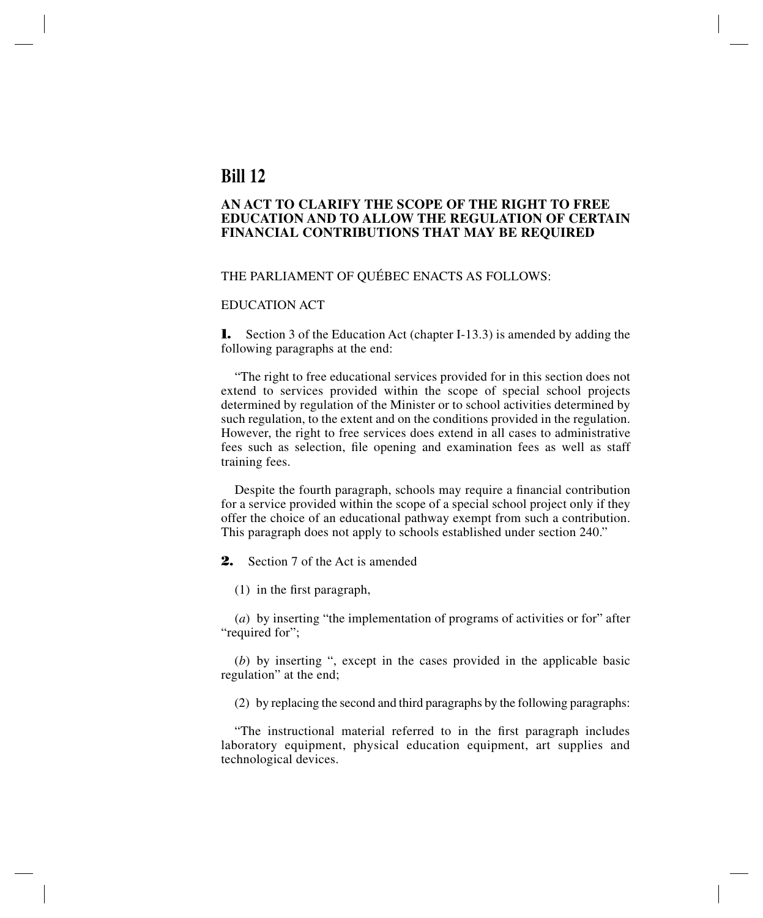## **Bill 12**

## **AN ACT TO CLARIFY THE SCOPE OF THE RIGHT TO FREE EDUCATION AND TO ALLOW THE REGULATION OF CERTAIN FINANCIAL CONTRIBUTIONS THAT MAY BE REQUIRED**

### THE PARLIAMENT OF QUÉBEC ENACTS AS FOLLOWS:

## EDUCATION ACT

**1.** Section 3 of the Education Act (chapter I-13.3) is amended by adding the following paragraphs at the end:

"The right to free educational services provided for in this section does not extend to services provided within the scope of special school projects determined by regulation of the Minister or to school activities determined by such regulation, to the extent and on the conditions provided in the regulation. However, the right to free services does extend in all cases to administrative fees such as selection, file opening and examination fees as well as staff training fees.

Despite the fourth paragraph, schools may require a financial contribution for a service provided within the scope of a special school project only if they offer the choice of an educational pathway exempt from such a contribution. This paragraph does not apply to schools established under section 240."

**2.** Section 7 of the Act is amended

(1) in the first paragraph,

(*a*) by inserting "the implementation of programs of activities or for" after "required for";

(*b*) by inserting ", except in the cases provided in the applicable basic regulation" at the end;

(2) by replacing the second and third paragraphs by the following paragraphs:

"The instructional material referred to in the first paragraph includes laboratory equipment, physical education equipment, art supplies and technological devices.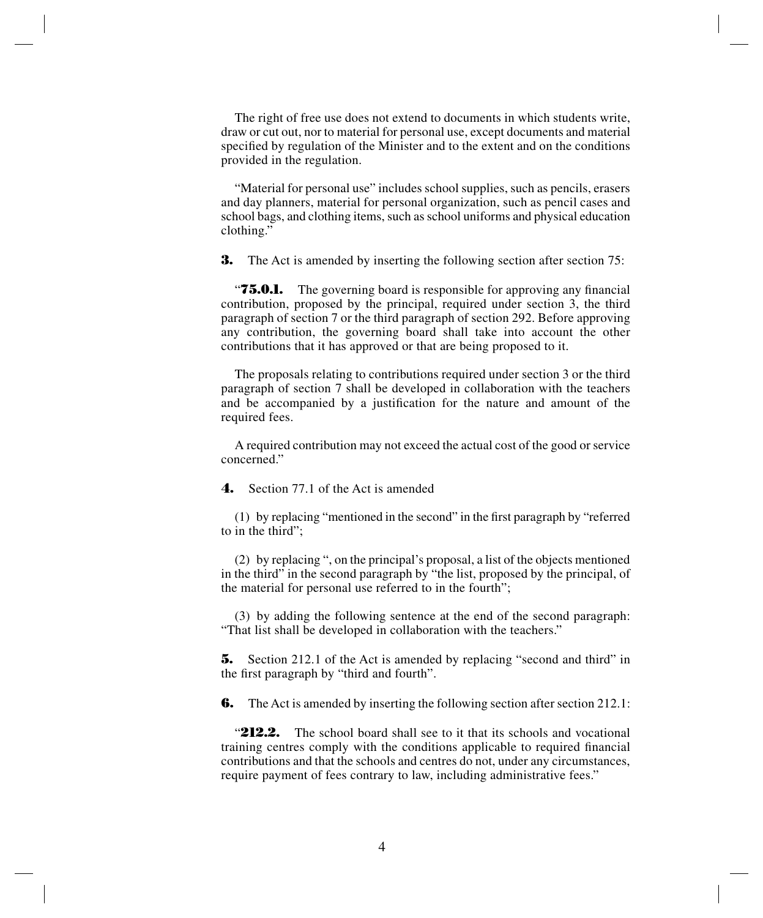The right of free use does not extend to documents in which students write, draw or cut out, nor to material for personal use, except documents and material specified by regulation of the Minister and to the extent and on the conditions provided in the regulation.

"Material for personal use" includes school supplies, such as pencils, erasers and day planners, material for personal organization, such as pencil cases and school bags, and clothing items, such as school uniforms and physical education clothing."

**3.** The Act is amended by inserting the following section after section 75:

*T5.0.1.* The governing board is responsible for approving any financial contribution, proposed by the principal, required under section 3, the third paragraph of section 7 or the third paragraph of section 292. Before approving any contribution, the governing board shall take into account the other contributions that it has approved or that are being proposed to it.

The proposals relating to contributions required under section 3 or the third paragraph of section 7 shall be developed in collaboration with the teachers and be accompanied by a justification for the nature and amount of the required fees.

A required contribution may not exceed the actual cost of the good or service concerned."

**4.** Section 77.1 of the Act is amended

(1) by replacing "mentioned in the second" in the first paragraph by "referred to in the third";

(2) by replacing ", on the principal's proposal, a list of the objects mentioned in the third" in the second paragraph by "the list, proposed by the principal, of the material for personal use referred to in the fourth";

(3) by adding the following sentence at the end of the second paragraph: "That list shall be developed in collaboration with the teachers."

**5.** Section 212.1 of the Act is amended by replacing "second and third" in the first paragraph by "third and fourth".

**6.** The Act is amended by inserting the following section after section 212.1:

"**212.2.** The school board shall see to it that its schools and vocational training centres comply with the conditions applicable to required financial contributions and that the schools and centres do not, under any circumstances, require payment of fees contrary to law, including administrative fees."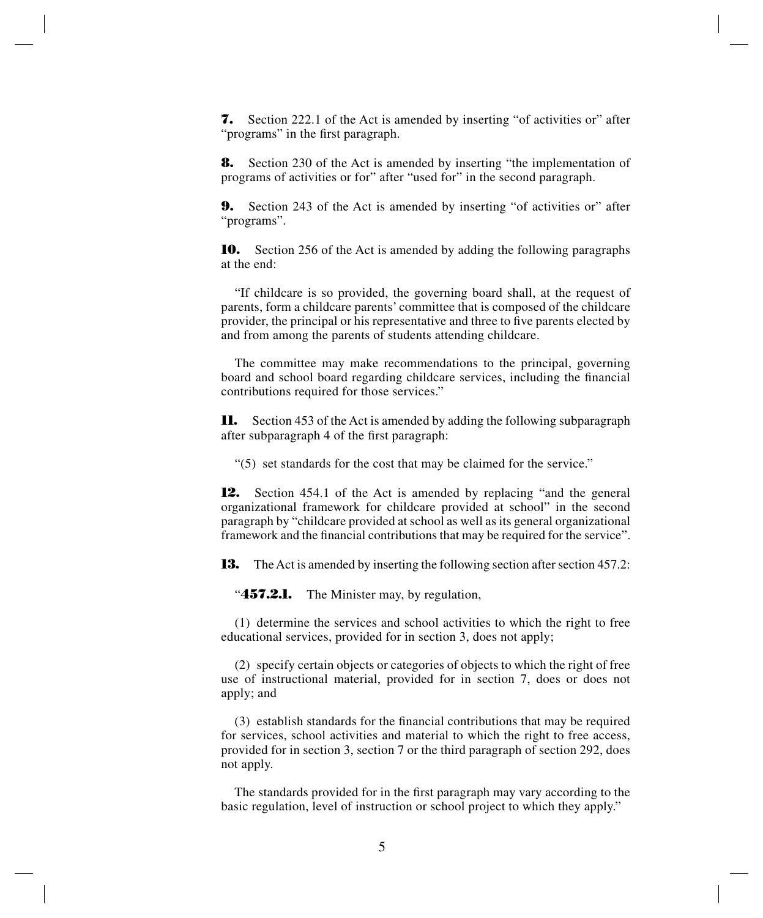**7.** Section 222.1 of the Act is amended by inserting "of activities or" after "programs" in the first paragraph.

**8.** Section 230 of the Act is amended by inserting "the implementation of programs of activities or for" after "used for" in the second paragraph.

**9.** Section 243 of the Act is amended by inserting "of activities or" after "programs".

**10.** Section 256 of the Act is amended by adding the following paragraphs at the end:

"If childcare is so provided, the governing board shall, at the request of parents, form a childcare parents' committee that is composed of the childcare provider, the principal or his representative and three to five parents elected by and from among the parents of students attending childcare.

The committee may make recommendations to the principal, governing board and school board regarding childcare services, including the financial contributions required for those services."

**11.** Section 453 of the Act is amended by adding the following subparagraph after subparagraph 4 of the first paragraph:

"(5) set standards for the cost that may be claimed for the service."

**12.** Section 454.1 of the Act is amended by replacing "and the general organizational framework for childcare provided at school" in the second paragraph by "childcare provided at school as well as its general organizational framework and the financial contributions that may be required for the service".

**13.** The Act is amended by inserting the following section after section 457.2:

"**457.2.1.** The Minister may, by regulation,

(1) determine the services and school activities to which the right to free educational services, provided for in section 3, does not apply;

(2) specify certain objects or categories of objects to which the right of free use of instructional material, provided for in section 7, does or does not apply; and

(3) establish standards for the financial contributions that may be required for services, school activities and material to which the right to free access, provided for in section 3, section 7 or the third paragraph of section 292, does not apply.

The standards provided for in the first paragraph may vary according to the basic regulation, level of instruction or school project to which they apply."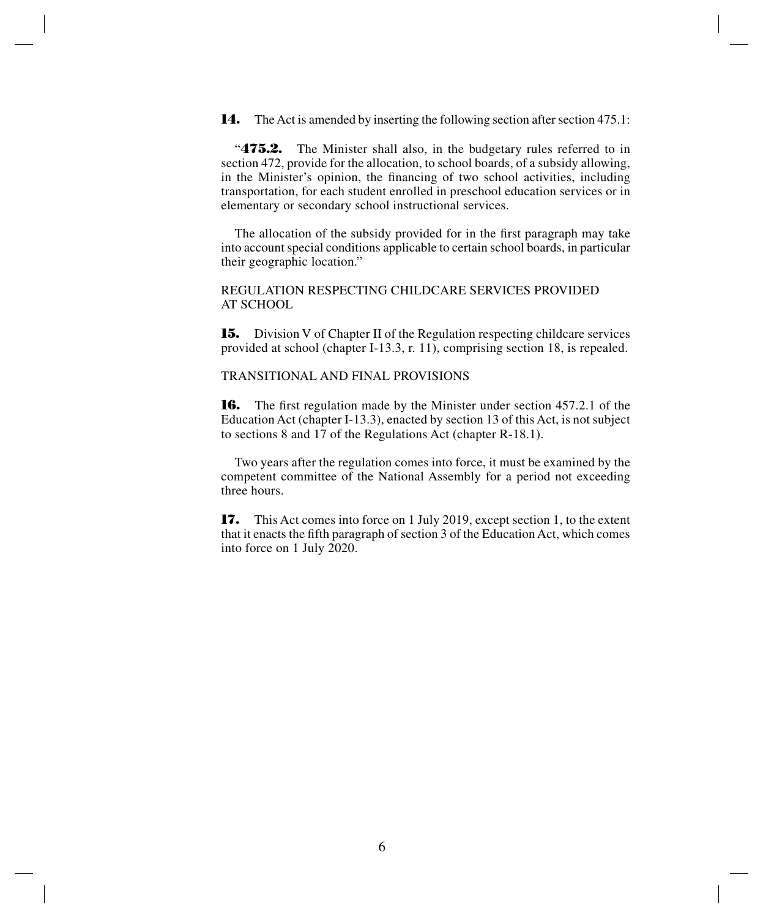**14.** The Act is amended by inserting the following section after section 475.1:

"**475.2.** The Minister shall also, in the budgetary rules referred to in section 472, provide for the allocation, to school boards, of a subsidy allowing, in the Minister's opinion, the financing of two school activities, including transportation, for each student enrolled in preschool education services or in elementary or secondary school instructional services.

The allocation of the subsidy provided for in the first paragraph may take into account special conditions applicable to certain school boards, in particular their geographic location."

REGULATION RESPECTING CHILDCARE SERVICES PROVIDED AT SCHOOL

**15.** Division V of Chapter II of the Regulation respecting childcare services provided at school (chapter I-13.3, r. 11), comprising section 18, is repealed.

TRANSITIONAL AND FINAL PROVISIONS

**16.** The first regulation made by the Minister under section 457.2.1 of the Education Act (chapter I-13.3), enacted by section 13 of this Act, is not subject to sections 8 and 17 of the Regulations Act (chapter R-18.1).

Two years after the regulation comes into force, it must be examined by the competent committee of the National Assembly for a period not exceeding three hours.

**17.** This Act comes into force on 1 July 2019, except section 1, to the extent that it enacts the fifth paragraph of section 3 of the Education Act, which comes into force on 1 July 2020.